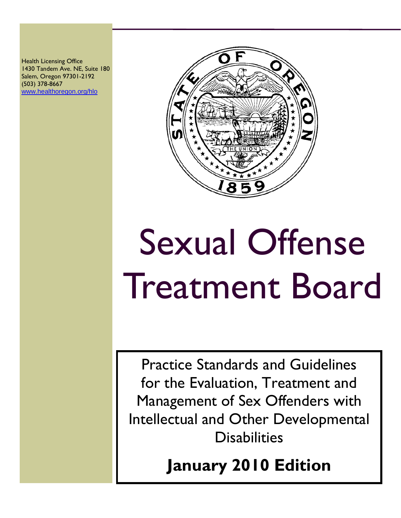Health Licensing Office 1430 Tandem Ave. NE, Suite 180 Salem, Oregon 97301-2192 (503) 378-8667 [www.healthoregon.org/hlo](http://www.healthoregon.org/hlo)



# Sexual Offense Treatment Board

Practice Standards and Guidelines for the Evaluation, Treatment and Management of Sex Offenders with Intellectual and Other Developmental **Disabilities** 

**January 2010 Edition**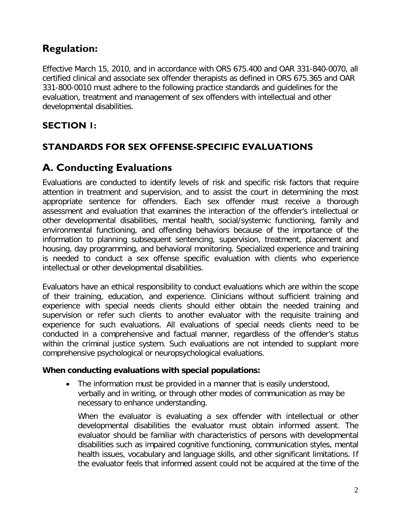#### **Regulation:**

Effective March 15, 2010, and in accordance with ORS 675.400 and OAR 331-840-0070, all certified clinical and associate sex offender therapists as defined in ORS 675.365 and OAR 331-800-0010 must adhere to the following practice standards and guidelines for the evaluation, treatment and management of sex offenders with intellectual and other developmental disabilities.

#### **SECTION 1:**

#### **STANDARDS FOR SEX OFFENSE-SPECIFIC EVALUATIONS**

#### **A. Conducting Evaluations**

Evaluations are conducted to identify levels of risk and specific risk factors that require attention in treatment and supervision, and to assist the court in determining the most appropriate sentence for offenders. Each sex offender must receive a thorough assessment and evaluation that examines the interaction of the offender's intellectual or other developmental disabilities, mental health, social/systemic functioning, family and environmental functioning, and offending behaviors because of the importance of the information to planning subsequent sentencing, supervision, treatment, placement and housing, day programming, and behavioral monitoring. Specialized experience and training is needed to conduct a sex offense specific evaluation with clients who experience intellectual or other developmental disabilities.

Evaluators have an ethical responsibility to conduct evaluations which are within the scope of their training, education, and experience. Clinicians without sufficient training and experience with special needs clients should either obtain the needed training and supervision or refer such clients to another evaluator with the requisite training and experience for such evaluations. All evaluations of special needs clients need to be conducted in a comprehensive and factual manner, regardless of the offender's status within the criminal justice system. Such evaluations are not intended to supplant more comprehensive psychological or neuropsychological evaluations.

#### **When conducting evaluations with special populations:**

• The information must be provided in a manner that is easily understood, verbally and in writing, or through other modes of communication as may be necessary to enhance understanding.

When the evaluator is evaluating a sex offender with intellectual or other developmental disabilities the evaluator must obtain informed assent. The evaluator should be familiar with characteristics of persons with developmental disabilities such as impaired cognitive functioning, communication styles, mental health issues, vocabulary and language skills, and other significant limitations. If the evaluator feels that informed assent could not be acquired at the time of the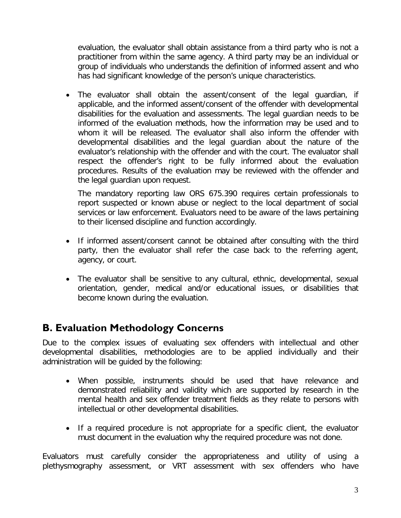evaluation, the evaluator shall obtain assistance from a third party who is not a practitioner from within the same agency. A third party may be an individual or group of individuals who understands the definition of informed assent and who has had significant knowledge of the person's unique characteristics.

• The evaluator shall obtain the assent/consent of the legal guardian, if applicable, and the informed assent/consent of the offender with developmental disabilities for the evaluation and assessments. The legal guardian needs to be informed of the evaluation methods, how the information may be used and to whom it will be released. The evaluator shall also inform the offender with developmental disabilities and the legal guardian about the nature of the evaluator's relationship with the offender and with the court. The evaluator shall respect the offender's right to be fully informed about the evaluation procedures. Results of the evaluation may be reviewed with the offender and the legal guardian upon request.

The mandatory reporting law ORS 675.390 requires certain professionals to report suspected or known abuse or neglect to the local department of social services or law enforcement. Evaluators need to be aware of the laws pertaining to their licensed discipline and function accordingly.

- If informed assent/consent cannot be obtained after consulting with the third party, then the evaluator shall refer the case back to the referring agent, agency, or court.
- The evaluator shall be sensitive to any cultural, ethnic, developmental, sexual orientation, gender, medical and/or educational issues, or disabilities that become known during the evaluation.

#### **B. Evaluation Methodology Concerns**

Due to the complex issues of evaluating sex offenders with intellectual and other developmental disabilities, methodologies are to be applied individually and their administration will be guided by the following:

- When possible, instruments should be used that have relevance and demonstrated reliability and validity which are supported by research in the mental health and sex offender treatment fields as they relate to persons with intellectual or other developmental disabilities.
- If a required procedure is not appropriate for a specific client, the evaluator must document in the evaluation why the required procedure was not done.

Evaluators must carefully consider the appropriateness and utility of using a plethysmography assessment, or VRT assessment with sex offenders who have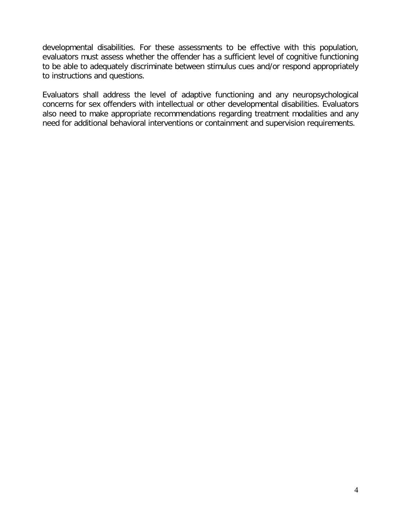developmental disabilities. For these assessments to be effective with this population, evaluators must assess whether the offender has a sufficient level of cognitive functioning to be able to adequately discriminate between stimulus cues and/or respond appropriately to instructions and questions.

Evaluators shall address the level of adaptive functioning and any neuropsychological concerns for sex offenders with intellectual or other developmental disabilities. Evaluators also need to make appropriate recommendations regarding treatment modalities and any need for additional behavioral interventions or containment and supervision requirements.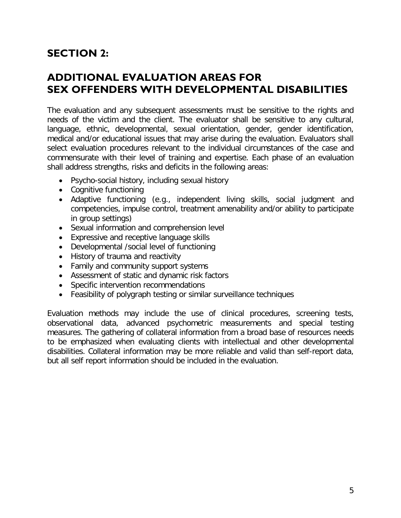### **SECTION 2:**

#### **ADDITIONAL EVALUATION AREAS FOR SEX OFFENDERS WITH DEVELOPMENTAL DISABILITIES**

The evaluation and any subsequent assessments must be sensitive to the rights and needs of the victim and the client. The evaluator shall be sensitive to any cultural, language, ethnic, developmental, sexual orientation, gender, gender identification, medical and/or educational issues that may arise during the evaluation. Evaluators shall select evaluation procedures relevant to the individual circumstances of the case and commensurate with their level of training and expertise. Each phase of an evaluation shall address strengths, risks and deficits in the following areas:

- Psycho-social history, including sexual history
- Cognitive functioning
- Adaptive functioning (e.g., independent living skills, social judgment and competencies, impulse control, treatment amenability and/or ability to participate in group settings)
- Sexual information and comprehension level
- Expressive and receptive language skills
- Developmental /social level of functioning
- History of trauma and reactivity
- Family and community support systems
- Assessment of static and dynamic risk factors
- Specific intervention recommendations
- Feasibility of polygraph testing or similar surveillance techniques

Evaluation methods may include the use of clinical procedures, screening tests, observational data, advanced psychometric measurements and special testing measures. The gathering of collateral information from a broad base of resources needs to be emphasized when evaluating clients with intellectual and other developmental disabilities. Collateral information may be more reliable and valid than self-report data, but all self report information should be included in the evaluation.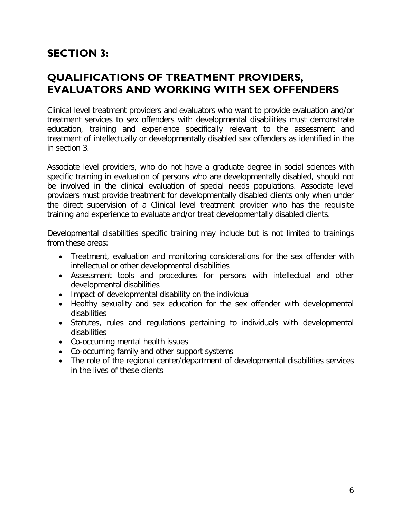## **SECTION 3:**

#### **QUALIFICATIONS OF TREATMENT PROVIDERS, EVALUATORS AND WORKING WITH SEX OFFENDERS**

Clinical level treatment providers and evaluators who want to provide evaluation and/or treatment services to sex offenders with developmental disabilities must demonstrate education, training and experience specifically relevant to the assessment and treatment of intellectually or developmentally disabled sex offenders as identified in the in section 3.

Associate level providers, who do not have a graduate degree in social sciences with specific training in evaluation of persons who are developmentally disabled, should not be involved in the clinical evaluation of special needs populations. Associate level providers must provide treatment for developmentally disabled clients only when under the direct supervision of a Clinical level treatment provider who has the requisite training and experience to evaluate and/or treat developmentally disabled clients.

Developmental disabilities specific training may include but is not limited to trainings from these areas:

- Treatment, evaluation and monitoring considerations for the sex offender with intellectual or other developmental disabilities
- Assessment tools and procedures for persons with intellectual and other developmental disabilities
- Impact of developmental disability on the individual
- Healthy sexuality and sex education for the sex offender with developmental disabilities
- Statutes, rules and regulations pertaining to individuals with developmental disabilities
- Co-occurring mental health issues
- Co-occurring family and other support systems
- The role of the regional center/department of developmental disabilities services in the lives of these clients